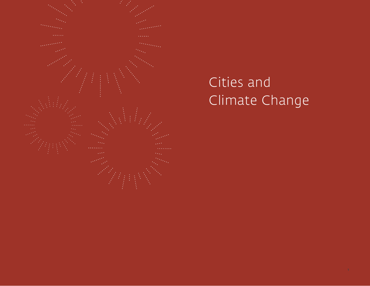

# Cities and Climate Change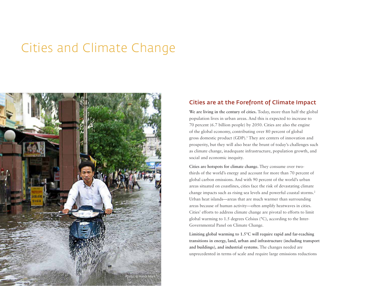## Cities and Climate Change



### Cities are at the Forefront of Climate Impact

We are living in the century of cities. Today, more than half the global population lives in urban areas. And this is expected to increase to 70 percent (6.7 billion people) by 2050. Cities are also the engine of the global economy, contributing over 80 percent of global gross domestic product (GDP).<sup>1</sup> They are centers of innovation and prosperity, but they will also bear the brunt of today's challenges such as climate change, inadequate infrastructure, population growth, and social and economic inequity.

**Cities are hotspots for climate change.** They consume over twothirds of the world's energy and account for more than 70 percent of global carbon emissions. And with 90 percent of the world's urban areas situated on coastlines, cities face the risk of devastating climate change impacts such as rising sea levels and powerful coastal storms.2 Urban heat islands—areas that are much warmer than surrounding areas because of human activity—often amplify heatwaves in cities. Cities' efforts to address climate change are pivotal to efforts to limit global warming to 1.5 degrees Celsius (°C), according to the Inter-Governmental Panel on Climate Change.

**Limiting global warming to 1.5°C will require rapid and far-reaching transitions in energy, land, urban and infrastructure (including transport and buildings), and industrial systems.** The changes needed are unprecedented in terms of scale and require large emissions reductions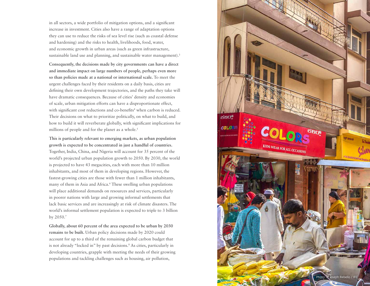in all sectors, a wide portfolio of mitigation options, and a significant increase in investment. Cities also have a range of adaptation options they can use to reduce the risks of sea level rise (such as coastal defense and hardening) and the risks to health, livelihoods, food, water, and economic growth in urban areas (such as green infrastructure, sustainable land use and planning, and sustainable water management).<sup>3</sup>

**Consequently, the decisions made by city governments can have a direct and immediate impact on large numbers of people, perhaps even more so than policies made at a national or international scale.** To meet the urgent challenges faced by their residents on a daily basis, cities are defining their own development trajectories, and the paths they take will have dramatic consequences. Because of cities' density and economies of scale, urban mitigation efforts can have a disproportionate effect, with significant cost reductions and co-benefits<sup>4</sup> when carbon is reduced. Their decisions on what to prioritize politically, on what to build, and how to build it will reverberate globally, with significant implications for millions of people and for the planet as a whole. $5$ 

**This is particularly relevant to emerging markets, as urban population growth is expected to be concentrated in just a handful of countries.**  Together, India, China, and Nigeria will account for 35 percent of the world's projected urban population growth to 2050. By 2030, the world is projected to have 43 megacities, each with more than 10 million inhabitants, and most of them in developing regions. However, the fastest-growing cities are those with fewer than 1 million inhabitants, many of them in Asia and Africa.<sup>6</sup> These swelling urban populations will place additional demands on resources and services, particularly in poorer nations with large and growing informal settlements that lack basic services and are increasingly at risk of climate disasters. The world's informal settlement population is expected to triple to 3 billion by 2050.7

**Globally, about 60 percent of the area expected to be urban by 2030 remains to be built.** Urban policy decisions made by 2020 could account for up to a third of the remaining global carbon budget that is not already "locked in" by past decisions.8 As cities, particularly in developing countries, grapple with meeting the needs of their growing populations and tackling challenges such as housing, air pollution,

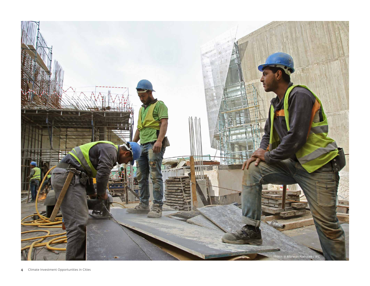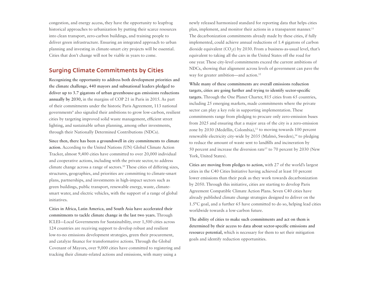congestion, and energy access, they have the opportunity to leapfrog historical approaches to urbanization by putting their scarce resources into clean transport, zero-carbon buildings, and training people to deliver green infrastructure. Ensuring an integrated approach to urban planning and investing in climate-smart city projects will be essential. Cities that don't change will not be viable in years to come.

## Surging Climate Commitments by Cities

**Recognizing the opportunity to address both development priorities and the climate challenge, 440 mayors and subnational leaders pledged to deliver up to 3.7 gigatons of urban greenhouse-gas emissions reductions annually by 2030,** in the margins of COP 21 in Paris in 2015. As part of their commitments under the historic Paris Agreement, 113 national governments<sup>9</sup> also signaled their ambitions to grow low-carbon, resilient cities by targeting improved solid waste management, efficient street lighting, and sustainable urban planning, among other investments, through their Nationally Determined Contributions (NDCs).

**Since then, there has been a groundswell in city commitments to climate action.** According to the United Nations (UN) Global Climate Action Tracker, almost 9,400 cities have committed to over 20,000 individual and cooperative actions, including with the private sector, to address climate change across a range of sectors.10 These cities of differing sizes, structures, geographies, and priorities are committing to climate-smart plans, partnerships, and investments in high-impact sectors such as green buildings, public transport, renewable energy, waste, climatesmart water, and electric vehicles, with the support of a range of global initiatives.

**Cities in Africa, Latin America, and South Asia have accelerated their commitments to tackle climate change in the last two years.** Through ICLEI—Local Governments for Sustainability, over 1,500 cities across 124 countries are receiving support to develop robust and resilient low-to-no emissions development strategies, green their procurement, and catalyze finance for transformative actions. Through the Global Covenant of Mayors, over 9,000 cities have committed to registering and tracking their climate-related actions and emissions, with many using a

newly released harmonized standard for reporting data that helps cities plan, implement, and monitor their actions in a transparent manner.<sup>11</sup> The decarbonization commitments already made by these cities, if fully implemented, could achieve annual reductions of 1.4 gigatons of carbon dioxide equivalent (CO<sub>2</sub>e) by 2030. From a business-as-usual level, that's equivalent to taking all the cars in the United States off the road for one year. These city-level commitments exceed the current ambitions of NDCs, showing that alignment across levels of government can pave the way for greater ambition—and action.<sup>12</sup>

**While many of these commitments are overall emissions reduction targets, cities are going further and trying to identify sector-specific targets.** Through the One Planet Charter, 815 cities from 65 countries, including 25 emerging markets, made commitments where the private sector can play a key role in supporting implementation. These commitments range from pledging to procure only zero-emission buses from 2025 and ensuring that a major area of the city is a zero-emission zone by 2030 (Medellín, Colombia),<sup>13</sup> to moving towards 100 percent renewable electricity city-wide by 2035 (Malmö, Sweden),<sup>14</sup> to pledging to reduce the amount of waste sent to landfills and incineration by 50 percent and increase the diversion rate<sup>15</sup> to 70 percent by 2030 (New York, United States).

**Cities are moving from pledges to action,** with 27 of the world's largest cities in the C40 Cities Initiative having achieved at least 10 percent lower emissions than their peak as they work towards decarbonization by 2050. Through this initiative, cities are starting to develop Paris Agreement Compatible Climate Action Plans. Seven C40 cities have already published climate change strategies designed to deliver on the 1.5°C goal, and a further 65 have committed to do so, helping lead cities worldwide towards a low-carbon future.

**The ability of cities to make such commitments and act on them is determined by their access to data about sector-specific emissions and resource potential,** which is necessary for them to set their mitigation goals and identify reduction opportunities.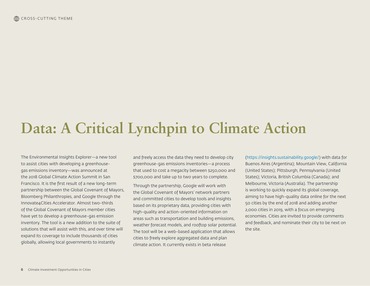## **Data: A Critical Lynchpin to Climate Action**

The Environmental Insights Explorer—a new tool to assist cities with developing a greenhousegas emissions inventory—was announced at the 2018 Global Climate Action Summit in San Francisco. It is the first result of a new long-term partnership between the Global Covenant of Mayors, Bloomberg Philanthropies, and Google through the Innovate4Cities Accelerator. Almost two-thirds of the Global Covenant of Mayors member cities have yet to develop a greenhouse-gas emission inventory. The tool is a new addition to the suite of solutions that will assist with this, and over time will expand its coverage to include thousands of cities globally, allowing local governments to instantly

and freely access the data they need to develop city greenhouse-gas emissions inventories—a process that used to cost a megacity between \$250,000 and \$700,000 and take up to two years to complete.

Through the partnership, Google will work with the Global Covenant of Mayors' network partners and committed cities to develop tools and insights based on its proprietary data, providing cities with high-quality and action-oriented information on areas such as transportation and building emissions, weather forecast models, and rooftop solar potential. The tool will be a web-based application that allows cities to freely explore aggregated data and plan climate action. It currently exists in beta release

(https://insights.sustainability.google/) with data for Buenos Aires (Argentina); Mountain View, California (United States); Pittsburgh, Pennsylvania (United States); Victoria, British Columbia (Canada); and Melbourne, Victoria (Australia). The partnership is working to quickly expand its global coverage, aiming to have high-quality data online for the next 50 cities by the end of 2018 and adding another 2,000 cities in 2019, with a focus on emerging economies. Cities are invited to provide comments and feedback, and nominate their city to be next on the site.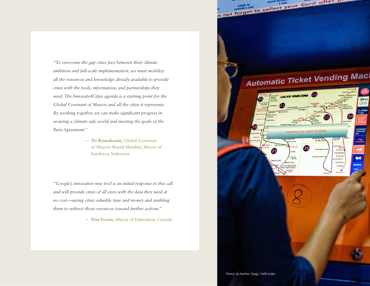*"To overcome the gap cities face between their climate ambition and full-scale implementation, we must mobilize all the resources and knowledge already available to provide cities with the tools, information, and partnerships they need. The Innovate4Cities agenda is a starting point for the Global Covenant of Mayors and all the cities it represents. By working together, we can make significant progress in securing a climate safe world and meeting the goals of the Paris Agreement."*

> — **Tri Rismaharini,** Global Covenant of Mayors Board Member, Mayor of Surabaya, Indonesia

*"Google's innovative new tool is an initial response to this call and will provide cities of all sizes with the data they need at no cost—saving cities valuable time and money and enabling them to redirect those resources toward further actions."* 

— **Don Iveson,** Mayor of Edmonton, Canada

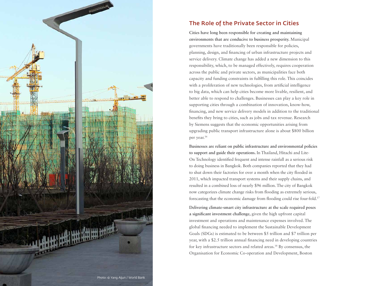

## The Role of the Private Sector in Cities

**Cities have long been responsible for creating and maintaining environments that are conducive to business prosperity.** Municipal governments have traditionally been responsible for policies, planning, design, and financing of urban infrastructure projects and service delivery. Climate change has added a new dimension to this responsibility, which, to be managed effectively, requires cooperation across the public and private sectors, as municipalities face both capacity and funding constraints in fulfilling this role. This coincides with a proliferation of new technologies, from artificial intelligence to big data, which can help cities become more livable, resilient, and better able to respond to challenges. Businesses can play a key role in supporting cities through a combination of innovation, know-how, financing, and new service delivery models in addition to the traditional benefits they bring to cities, such as jobs and tax revenue. Research by Siemens suggests that the economic opportunities arising from upgrading public transport infrastructure alone is about \$800 billion per year.<sup>16</sup>

**Businesses are reliant on public infrastructure and environmental policies to support and guide their operations.** In Thailand, Hitachi and Lite-On Technology identified frequent and intense rainfall as a serious risk to doing business in Bangkok. Both companies reported that they had to shut down their factories for over a month when the city flooded in 2011, which impacted transport systems and their supply chains, and resulted in a combined loss of nearly \$96 million. The city of Bangkok now categorizes climate change risks from flooding as extremely serious, forecasting that the economic damage from flooding could rise four-fold.17

**Delivering climate-smart city infrastructure at the scale required poses a significant investment challenge,** given the high upfront capital investment and operations and maintenance expenses involved. The global financing needed to implement the Sustainable Development Goals (SDGs) is estimated to be between \$5 trillion and \$7 trillion per year, with a \$2.5 trillion annual financing need in developing countries for key infrastructure sectors and related areas.18 By consensus, the Organisation for Economic Co-operation and Development, Boston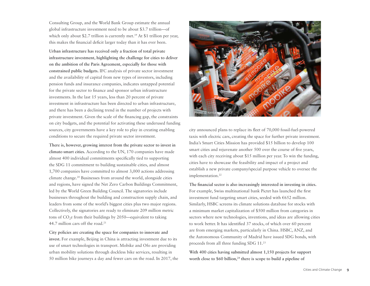Consulting Group, and the World Bank Group estimate the annual global infrastructure investment need to be about \$3.7 trillion—of which only about \$2.7 trillion is currently met.<sup>19</sup> At \$1 trillion per year, this makes the financial deficit larger today than it has ever been.

**Urban infrastructure has received only a fraction of total private infrastructure investment, highlighting the challenge for cities to deliver on the ambition of the Paris Agreement, especially for those with constrained public budgets.** IFC analysis of private sector investment and the availability of capital from new types of investors, including pension funds and insurance companies, indicates untapped potential for the private sector to finance and sponsor urban infrastructure investments. In the last 15 years, less than 20 percent of private investment in infrastructure has been directed to urban infrastructure, and there has been a declining trend in the number of projects with private investment. Given the scale of the financing gap, the constraints on city budgets, and the potential for activating these underused funding sources, city governments have a key role to play in creating enabling conditions to secure the required private sector investment.

**There is, however, growing interest from the private sector to invest in climate-smart cities.** According to the UN, 170 companies have made almost 400 individual commitments specifically tied to supporting the SDG 11 commitment to building sustainable cities, and almost 1,700 companies have committed to almost 3,000 actions addressing climate change.<sup>20</sup> Businesses from around the world, alongside cities and regions, have signed the Net Zero Carbon Buildings Commitment, led by the World Green Building Council. The signatories include businesses throughout the building and construction supply chain, and leaders from some of the world's biggest cities plus two major regions. Collectively, the signatories are ready to eliminate 209 million metric tons of  $CO<sub>2</sub>e$  from their buildings by 2050—equivalent to taking 44.7 million cars off the road.<sup>21</sup>

**City policies are creating the space for companies to innovate and invest.** For example, Beijing in China is attracting investment due to its use of smart technologies in transport. Mobike and Ofo are providing urban mobility solutions through dockless bike services, resulting in 50 million bike journeys a day and fewer cars on the road. In 2017, the



city announced plans to replace its fleet of 70,000 fossil-fuel-powered taxis with electric cars, creating the space for further private investment. India's Smart Cities Mission has provided \$15 billion to develop 100 smart cities and rejuvenate another 500 over the course of five years, with each city receiving about \$15 million per year. To win the funding, cities have to showcase the feasibility and impact of a project and establish a new private company/special purpose vehicle to oversee the implementation.<sup>22</sup>

**The financial sector is also increasingly interested in investing in cities.**  For example, Swiss multinational bank Pictet has launched the first investment fund targeting smart cities, seeded with €652 million. Similarly, HSBC screens its climate solutions database for stocks with a minimum market capitalization of \$500 million from categories in sectors where new technologies, inventions, and ideas are allowing cities to work better. It has identified 37 stocks, of which over 60 percent are from emerging markets, particularly in China. HSBC, ANZ, and the Autonomous Community of Madrid have issued SDG bonds, with proceeds from all three funding SDG 11.23

**With 400 cities having submitted almost 1,150 projects for support**  worth close to \$60 billion,<sup>24</sup> there is scope to build a pipeline of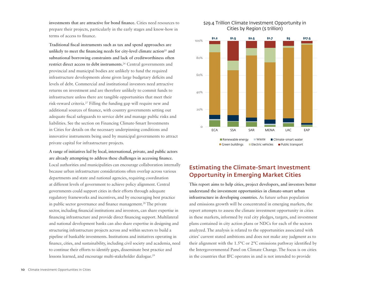**investments that are attractive for bond finance.** Cities need resources to prepare their projects, particularly in the early stages and know-how in terms of access to finance.

**Traditional fiscal instruments such as tax and spend approaches are**  unlikely to meet the financing needs for city-level climate action<sup>25</sup> and **subnational borrowing constraints and lack of creditworthiness often restrict direct access to debt instruments.**26 Central governments and provincial and municipal bodies are unlikely to fund the required infrastructure developments alone given large budgetary deficits and levels of debt. Commercial and institutional investors need attractive returns on investment and are therefore unlikely to commit funds to infrastructure unless there are tangible opportunities that meet their risk-reward criteria.27 Filling the funding gap will require new and additional sources of finance, with country governments setting out adequate fiscal safeguards to service debt and manage public risks and liabilities. See the section on Financing Climate-Smart Investments in Cities for details on the necessary underpinning conditions and innovative instruments being used by municipal governments to attract private capital for infrastructure projects.

**A range of initiatives led by local, international, private, and public actors are already attempting to address these challenges in accessing finance.**  Local authorities and municipalities can encourage collaboration internally because urban infrastructure considerations often overlap across various departments and state and national agencies, requiring coordination at different levels of government to achieve policy alignment. Central governments could support cities in their efforts through adequate regulatory frameworks and incentives, and by encouraging best practice in public sector governance and finance management.28 The private sector, including financial institutions and investors, can share expertise in financing infrastructure and provide direct financing support. Multilateral and national development banks can also share expertise in designing and structuring infrastructure projects across and within sectors to build a pipeline of bankable investments. Institutions and initiatives operating in finance, cities, and sustainability, including civil society and academia, need to continue their efforts to identify gaps, disseminate best practice and lessons learned, and encourage multi-stakeholder dialogue.29

#### \$29.4 Trillion Climate Investment Opportunity in Cities by Region (\$ trillion)



Green buildings **Electric vehicles** Public transport

## Estimating the Climate-Smart Investment Opportunity in Emerging Market Cities

**This report aims to help cities, project developers, and investors better understand the investment opportunities in climate-smart urban infrastructure in developing countries.** As future urban population and emissions growth will be concentrated in emerging markets, the report attempts to assess the climate investment opportunity in cities in these markets, informed by real city pledges, targets, and investment plans contained in city action plans or NDCs for each of the sectors analyzed. The analysis is related to the opportunities associated with cities' current stated ambitions and does not make any judgment as to their alignment with the 1.5°C or 2°C emissions pathway identified by the Intergovernmental Panel on Climate Change. The focus is on cities in the countries that IFC operates in and is not intended to provide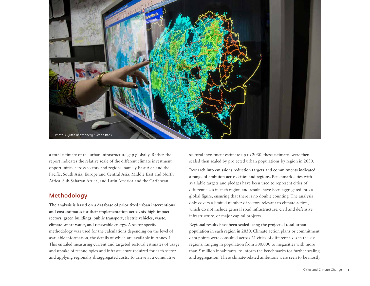

a total estimate of the urban infrastructure gap globally. Rather, the report indicates the relative scale of the different climate investment opportunities across sectors and regions, namely East Asia and the Pacific, South Asia, Europe and Central Asia, Middle East and North Africa, Sub-Saharan Africa, and Latin America and the Caribbean.

### Methodology

**The analysis is based on a database of prioritized urban interventions and cost estimates for their implementation across six high-impact sectors: green buildings, public transport, electric vehicles, waste, climate-smart water, and renewable energy.** A sector-specific methodology was used for the calculations depending on the level of available information, the details of which are available in Annex 1. This entailed measuring current and targeted sectoral estimates of usage and uptake of technologies and infrastructure required for each sector, and applying regionally disaggregated costs. To arrive at a cumulative

sectoral investment estimate up to 2030, these estimates were then scaled then scaled by projected urban populations by region in 2030.

**Research into emissions reduction targets and commitments indicated a range of ambition across cities and regions.** Benchmark cities with available targets and pledges have been used to represent cities of different sizes in each region and results have been aggregated into a global figure, ensuring that there is no double counting. The analysis only covers a limited number of sectors relevant to climate action, which do not include general road infrastructure, civil and defensive infrastructure, or major capital projects.

**Regional results have been scaled using the projected total urban population in each region in 2030.** Climate action plans or commitment data points were consulted across 21 cities of different sizes in the six regions, ranging in population from 500,000 to megacities with more than 5 million inhabitants, to inform the benchmarks for further scaling and aggregation. These climate-related ambitions were seen to be mostly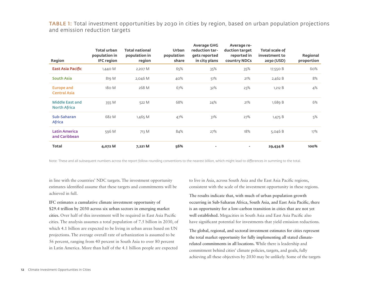TABLE 1: Total investment opportunities by 2030 in cities by region, based on urban population projections and emission reduction targets

| <b>Region</b>                                 | Total urban<br>population in<br><b>IFC region</b> | <b>Total national</b><br>population in<br>region | <b>Urban</b><br>population<br>share | <b>Average GHG</b><br>reduction tar-<br>gets reported<br>in city plans | Average re-<br>duction target<br>reported in<br>country NDCs | <b>Total scale of</b><br>investment to<br>2030 (USD) | Regional<br>proportion |
|-----------------------------------------------|---------------------------------------------------|--------------------------------------------------|-------------------------------------|------------------------------------------------------------------------|--------------------------------------------------------------|------------------------------------------------------|------------------------|
| <b>East Asia Pacific</b>                      | 1,440 M                                           | 2,207 M                                          | 65%                                 | 35%                                                                    | 35%                                                          | 17,550 B                                             | 60%                    |
| South Asia                                    | 819 M                                             | 2,046 M                                          | 40%                                 | 51%                                                                    | 21%                                                          | 2,462 B                                              | 8%                     |
| <b>Europe and</b><br><b>Central Asia</b>      | 180 M                                             | 268 M                                            | 67%                                 | 32%                                                                    | 23%                                                          | 1,212 B                                              | 4%                     |
| <b>Middle East and</b><br><b>North Africa</b> | 355 M                                             | 522 M                                            | 68%                                 | 24%                                                                    | 21%                                                          | 1,689B                                               | 6%                     |
| Sub-Saharan<br><b>Africa</b>                  | 682 M                                             | 1,465 M                                          | 47%                                 | 31%                                                                    | 27%                                                          | 1,475 B                                              | 5%                     |
| <b>Latin America</b><br>and Caribbean         | 596 M                                             | 713 M                                            | 84%                                 | 27%                                                                    | 18%                                                          | 5,046B                                               | 17%                    |
| <b>Total</b>                                  | 4,072 M                                           | 7,221 M                                          | 56%                                 | ٠                                                                      | $\overline{\phantom{a}}$                                     | 29,434 B                                             | 100%                   |

Note: These and all subsequent numbers across the report follow rounding conventions to the nearest billion, which might lead to differences in summing to the total.

in line with the countries' NDC targets. The investment opportunity estimates identified assume that these targets and commitments will be achieved in full.

**IFC estimates a cumulative climate investment opportunity of \$29.4 trillion by 2030 across six urban sectors in emerging market cities.** Over half of this investment will be required in East Asia Pacific cities. The analysis assumes a total population of 7.5 billion in 2030, of which 4.1 billion are expected to be living in urban areas based on UN projections. The average overall rate of urbanization is assumed to be 56 percent, ranging from 40 percent in South Asia to over 80 percent in Latin America. More than half of the 4.1 billion people are expected

to live in Asia, across South Asia and the East Asia Pacific regions, consistent with the scale of the investment opportunity in these regions.

**The results indicate that, with much of urban population growth occurring in Sub-Saharan Africa, South Asia, and East Asia Pacific, there is an opportunity for a low-carbon transition in cities that are not yet well established.** Megacities in South Asia and East Asia Pacific also have significant potential for investments that yield emission reductions.

**The global, regional, and sectoral investment estimates for cities represent the total market opportunity for fully implementing all stated climaterelated commitments in all locations.** While there is leadership and commitment behind cities' climate policies, targets, and goals, fully achieving all these objectives by 2030 may be unlikely. Some of the targets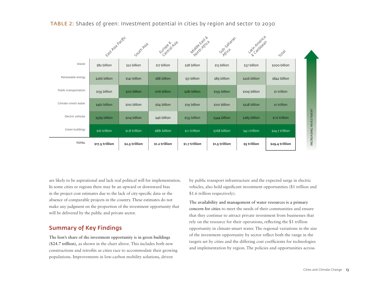

TABLE 2: Shades of green: Investment potential in cities by region and sector to 2030

are likely to be aspirational and lack real political will for implementation. In some cities or regions there may be an upward or downward bias in the project cost estimates due to the lack of city-specific data or the absence of comparable projects in the country. These estimates do not make any judgment on the proportion of the investment opportunity that will be delivered by the public and private sector.

## Summary of Key Findings

**The lion's share of the investment opportunity is in green buildings (\$24.7 trillion),** as shown in the chart above. This includes both new constructions and retrofits as cities race to accommodate their growing populations. Improvements in low-carbon mobility solutions, driven

by public transport infrastructure and the expected surge in electric vehicles, also hold significant investment opportunities (\$1 trillion and \$1.6 trillion respectively).

**The availability and management of water resources is a primary concern for cities** to meet the needs of their communities and ensure that they continue to attract private investment from businesses that rely on the resource for their operations, reflecting the \$1 trillion opportunity in climate-smart water. The regional variations in the size of the investment opportunity by sector reflect both the range in the targets set by cities and the differing cost coefficients for technologies and implementation by region. The policies and opportunities across